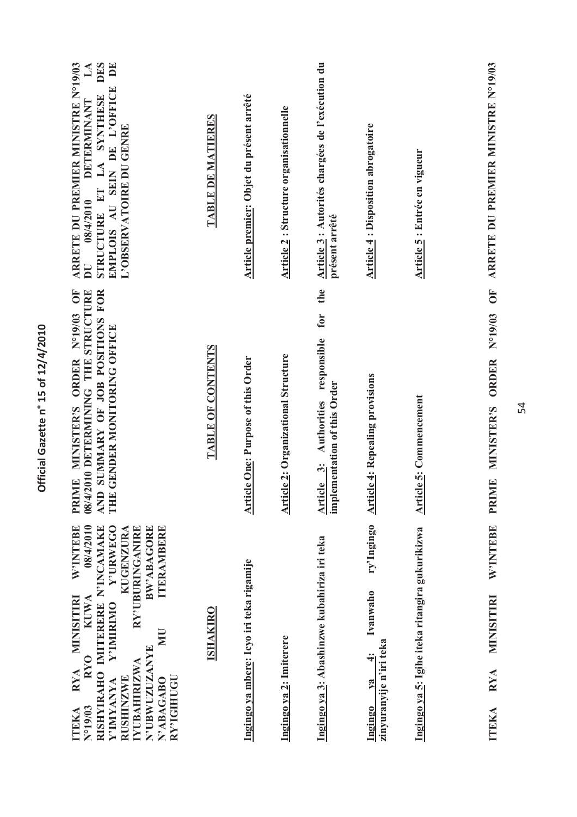| 08/4/2010<br>W'INTEBE<br>Y'URWEGO<br><b>KUGENZURA</b><br>RY'UBURINGANIRE<br>N'INCAMAKE<br>BW'ABAGORE<br><b>TERAMBERE</b><br>MINISITIRI<br><b>KUWA</b><br>RISHYIRAHO IMITERERE<br><b>A</b> IMIRIMO<br>N'UBWUZUZANYE<br><b>RYO</b><br>YUBAHIRIZWA<br><b>RYA</b><br>RY'IGHUGU<br><b>RUSHINZWE</b><br>N'ABAGABO<br><b><i>NANNANIA</i></b><br>N°19/03<br>ITEKA | PRIME MINISTER'S ORDER Nº19/03 OF<br>SUMMARY OF JOB POSITIONS FOR<br>08/4/2010 DETERMINING THE STRUCTURE<br>GENDER MONITORING OFFICE<br><b>AND</b><br>THIE | ARRETE DU PREMIER MINISTRE N°19/03<br>DES<br>DE<br>$\mathbb{A}$<br>EMPLOIS AU SEIN DE L'OFFICE<br>STRUCTURE ET LA SYNTHESE<br>DETERMINANT<br>L'OBSERVATOIRE DU GENRE<br>08/4/2010<br>$\overline{\mathbf{D}}$ |
|-----------------------------------------------------------------------------------------------------------------------------------------------------------------------------------------------------------------------------------------------------------------------------------------------------------------------------------------------------------|------------------------------------------------------------------------------------------------------------------------------------------------------------|--------------------------------------------------------------------------------------------------------------------------------------------------------------------------------------------------------------|
| <b>ISHAKIRO</b>                                                                                                                                                                                                                                                                                                                                           | TABLE OF CONTENTS                                                                                                                                          | TABLE DE MATIERES                                                                                                                                                                                            |
| Ingingo ya mbere: Icyo iri teka rigamije                                                                                                                                                                                                                                                                                                                  | <b>Article One: Purpose of this Order</b>                                                                                                                  | Article premier: Objet du présent arrêté                                                                                                                                                                     |
| Ingingo ya 2: Imiterere                                                                                                                                                                                                                                                                                                                                   | Article 2: Organizational Structure                                                                                                                        | <b>Article 2: Structure organisationnelle</b>                                                                                                                                                                |
| Ingingo ya 3: Abashinzwe kubahiriza iri teka                                                                                                                                                                                                                                                                                                              | the<br>for<br>responsible<br>implementation of this Order<br>Article 3: Authorities                                                                        | Article 3 : Autorités chargées de l'exécution du<br>présent arrêté                                                                                                                                           |
| ry'Ingingo<br>Ivanwaho<br>zinyuranyije n'iri teka<br>$\div$<br>$1$<br>Ingingo                                                                                                                                                                                                                                                                             | <b>Article 4: Repealing provisions</b>                                                                                                                     | <b>Article 4: Disposition abrogatoire</b>                                                                                                                                                                    |
| Ingingo ya 5: Igihe iteka ritangira gukurikizwa                                                                                                                                                                                                                                                                                                           | <b>Article 5: Commencement</b>                                                                                                                             | Article 5 : Entrée en vigueur                                                                                                                                                                                |
| W'INTEBE<br>MINISITIRI<br><b>RYA</b><br>ITEKA                                                                                                                                                                                                                                                                                                             | PRINE MINISTER'S ORDER Nº19/03 OF ARRETE DU PREMIER MINISTRE Nº19/03                                                                                       |                                                                                                                                                                                                              |

Official Gazette n° 15 of 12/4/2010

**ITEKA RYA MINISITIRI W'INTEBE PRIME MINISTER'S ORDER N°19/03 OF**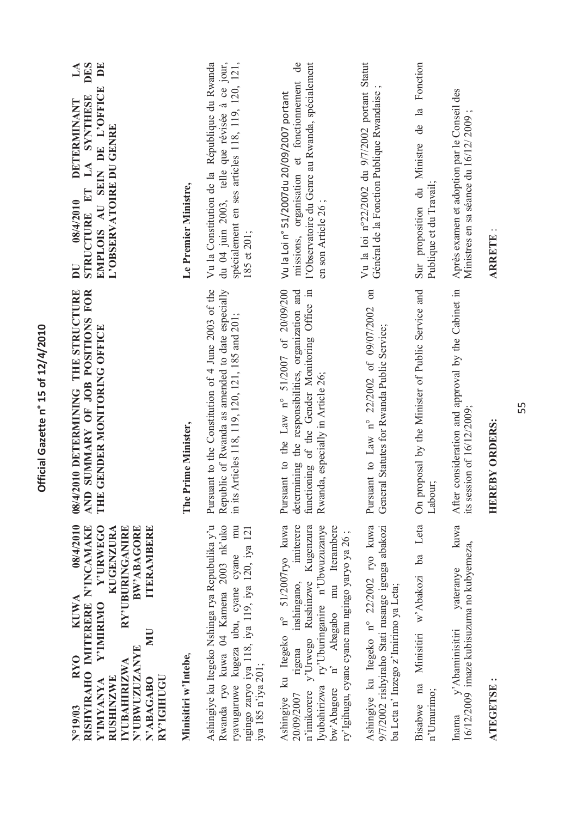| 08/4/2010<br>Y'URWEGO<br>RY'UBURINGANIRE<br>BW'ABAGORE<br><b>ITERAMBERE</b><br>RISHYIRAHO IMITERERE N'INCAMAKE<br>KUGENZURA<br><b>KUWA</b><br><b>V'IMIRIMO</b><br>N'UBWUZUZANYE<br><b>RYO</b><br><b>IYUBAHIRIZWA</b><br>RY'IGHUGU<br><b>RUSHINZWE</b><br>N'ABAGABO<br><b><i>NANNANNA</i></b><br>N°19/03 | SUMMARY OF JOB POSITIONS FOR<br>08/4/2010 DETERMINING THE STRUCTURE<br>GENDER MONITORING OFFICE<br><b>AND</b><br>THE                                                                     | DE<br>DES<br>$\mathbf{\Sigma}$<br>EMPLOIS AU SEIN DE L'OFFICE<br>LA SYNTHESE<br><b>DETERMINANT</b><br>L'OBSERVATOIRE DU GENRE<br>STRUCTURE ET<br>08/4/2010<br>$\overline{\mathbf{D}}$ |
|---------------------------------------------------------------------------------------------------------------------------------------------------------------------------------------------------------------------------------------------------------------------------------------------------------|------------------------------------------------------------------------------------------------------------------------------------------------------------------------------------------|---------------------------------------------------------------------------------------------------------------------------------------------------------------------------------------|
| Minisitiri w'Intebe,                                                                                                                                                                                                                                                                                    | Prime Minister,<br>The I                                                                                                                                                                 | Le Premier Ministre,                                                                                                                                                                  |
| Rwanda ryo kuwa 04 Kamena 2003 nk'uko<br>Ashingiye ku Itegeko Nshinga rya Repubulika y'u<br>ryavuguruwe kugeza ubu, cyane cyane mu<br>ngingo zaryo iya 118, iya 119, iya 120, iya 121<br>iya 185 n'iya 201;                                                                                             | Pursuant to the Constitution of 4 June 2003 of the<br>Republic of Rwanda as amended to date especially<br>in its Articles 118, 119, 120, 121, 185 and 201;                               | Vu la Constitution de la République du Rwanda<br>du 04 juin 2003, telle que révisée à ce jour,<br>spécialement en ses articles 118, 119, 120, 121,<br>185 et 201;                     |
| Ashingiye ku Itegeko n° 51/2007ryo kuwa<br>imiterere<br>n'imikorere y'Urwego Rushinzwe Kugenzura<br>ry'Uburinganire n'Ubwuzuzanye<br>Abagabo mu Iterambere<br>ry'lgihugu, cyane cyane mu ngingo yaryo ya 26;<br>inshingano,<br>rigena<br>$n^{\prime}$<br>Iyubahirizwa<br>bw'Abagore<br>20/09/2007       | Pursuant to the Law n° 51/2007 of 20/09/200<br>functioning of the Gender Monitoring Office in<br>determining the responsibilities, organization and<br>Rwanda, especially in Article 26; | missions, organisation et fonctionnement de<br>l'Observatoire du Genre au Rwanda, spécialement<br>Vu la Loi n° 51/2007du 20/09/2007 portant<br>en son Article 26;                     |
| Ashingiye ku Itegeko n° 22/2002 ryo kuwa<br>9/7/2002 rishyiraho Stati rusange igenga abakozi<br>ba Leta n' Inzego z'Imirimo ya Leta;                                                                                                                                                                    | Pursuant to Law $n^{\circ}$ 22/2002 of 09/07/2002 on<br>General Statutes for Rwanda Public Service;                                                                                      | Vu la loi n°22/2002 du 9/7/2002 portant Statut<br>Général de la Fonction Publique Rwandaise                                                                                           |
| Bisabwe na Minisitiri w'Abakozi ba Leta<br>n'Umurimo;                                                                                                                                                                                                                                                   | On proposal by the Minister of Public Service and<br>Labour;                                                                                                                             | Sur proposition du Ministre de la Fonction<br>Publique et du Travail;                                                                                                                 |
| kuwa<br>16/12/2009 imaze kubisuzuma no kubyemeza,<br>vateranye<br>y'Abaminisitiri<br>Inama                                                                                                                                                                                                              | consideration and approval by the Cabinet in<br>its session of $16/12/2009$ ;<br>After                                                                                                   | Après examen et adoption par le Conseil des<br>Ministres en sa séance du 16/12/2009;                                                                                                  |
| ATEGETSE:                                                                                                                                                                                                                                                                                               | EBY ORDERS:<br>HER                                                                                                                                                                       | <b>ARRETE</b>                                                                                                                                                                         |

55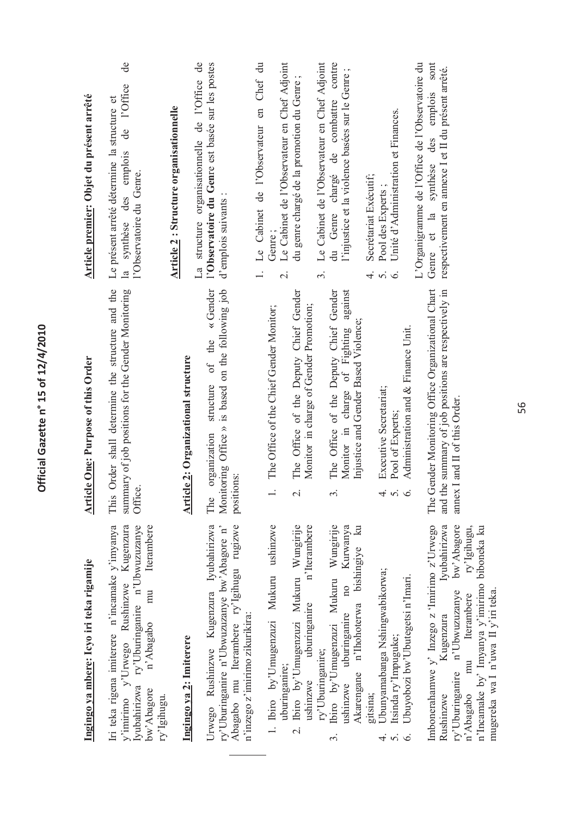| Ingingo ya mbere: Icyo iri teka rigamije                                                                                                                                                                         | <b>Article One: Purpose of this Order</b>                                                                                                    | Article premier: Objet du présent arrêté                                                                                               |
|------------------------------------------------------------------------------------------------------------------------------------------------------------------------------------------------------------------|----------------------------------------------------------------------------------------------------------------------------------------------|----------------------------------------------------------------------------------------------------------------------------------------|
| Iri teka rigena imiterere n'incamake y'imyanya<br>Kugenzura<br>ry'Uburinganire n'Ubwuzuzanye<br>Iterambere<br>$y'$ imirimo $y'U$ rwego Rushinzwe<br>mu<br>n'Abagabo<br>Iyubahirizwa<br>bw'Abagore<br>ry'Igihugu. | Order shall determine the structure and the<br>summary of job positions for the Gender Monitoring<br>Office.<br>This                         | de<br>de l'Office<br>Le présent arrêté détermine la structure et<br>synthèse des emplois<br>l'Observatoire du Genre.<br>$\overline{a}$ |
| Ingingo ya 2: Imiterere                                                                                                                                                                                          | Article 2: Organizational structure                                                                                                          | <b>Article 2: Structure organisationnelle</b>                                                                                          |
|                                                                                                                                                                                                                  |                                                                                                                                              | La structure organisationnelle de l'Office de                                                                                          |
| Urwego Rushinzwe Kugenzura Iyubahirizwa<br>ry'Uburinganire n'Ubwuzuzanye bw'Abagore n'<br>Abagabo mu Iterambere ry'Igihugu rugizwe<br>n'inzego z'imirimo zikurikira:                                             | structure of the $\kappa$ Gender<br>Monitoring Office » is based on the following job<br>organization<br>positions:<br>The                   | l'Observatoire du Genre est basée sur les postes<br>d'emplois suivants :                                                               |
|                                                                                                                                                                                                                  |                                                                                                                                              | Le Cabinet de l'Observateur en Chef du                                                                                                 |
| 1. Ibiro by'Umugenzuzi Mukuru ushinzwe<br>uburinganire;                                                                                                                                                          | The Office of the Chief Gender Monitor;<br>$\equiv$                                                                                          | Le Cabinet de l'Observateur en Chef Adjoint<br>Genre;<br>$\overline{\Omega}$                                                           |
| 2. Ibiro by'Umugenzuzi Mukuru Wungirije<br>n'Iterambere<br>ushinzwe uburinganire                                                                                                                                 | The Office of the Deputy Chief Gender<br>Monitor in charge of Gender Promotion;<br>$\overline{\mathcal{M}}$                                  | du genre chargé de la promotion du Genre;                                                                                              |
| ry'Uburinganire;                                                                                                                                                                                                 |                                                                                                                                              | Le Cabinet de l'Observateur en Chef Adjoint<br>$\dot{\epsilon}$                                                                        |
| Ibiro by'Umugenzuzi Mukuru Wungirije<br>Kurwanya<br>$\mathbb{R}$<br>$\overline{a}$<br>uburinganire<br>ushinzwe<br>$\sim$                                                                                         | The Office of the Deputy Chief Gender<br>Monitor in charge of Fighting against<br>Injustice and Gender Based Violence;<br>$\sim$             | du Genre chargé de combattre contre<br>l'injustice et la violence basées sur le Genre;                                                 |
| bishingiye<br>Akarengane n'Ihohoterwa<br>gitsina;                                                                                                                                                                |                                                                                                                                              | Secrétariat Exécutif;                                                                                                                  |
| Jbunyamabanga Nshingwabikorwa;<br>4.                                                                                                                                                                             | Executive Secretariat;<br>$\overline{4}$                                                                                                     | Pool des Experts;<br>$\ddot{o}$                                                                                                        |
| Ubuyobozi bw'Ubutegetsi n'Imari.<br>Itsinda ry'Impuguke;                                                                                                                                                         | Administration and & Finance Unit.<br>Pool of Experts;<br>$\circ$                                                                            | Unité d'Administration et Finances.                                                                                                    |
|                                                                                                                                                                                                                  |                                                                                                                                              | L'Organigramme de l'Office de l'Observatoire du                                                                                        |
| Imbonerahamwe y' Inzego z 'Imirimo z'Urwego<br>bw'Abagore<br>Iyubahirizwa<br>ry'Uburinganire n'Ubwuzuzanye<br>Kugenzura<br>Rushinzwe                                                                             | The Gender Monitoring Office Organizational Chart<br>the summary of job positions are respectively in<br>annex I and II of this Order<br>and | sont<br>respectivement en annexe I et II du présent arrêté.<br>Genre et la synthèse des emplois                                        |
| ry'Igihugu,<br>n'Incamake by' Imyanya y'imirimo biboneka ku<br>mugereka wa I n'uwa II y'iri teka.<br>mu Iterambere<br>n'Abagabo                                                                                  |                                                                                                                                              |                                                                                                                                        |

Official Gazette n° 15 of 12/4/2010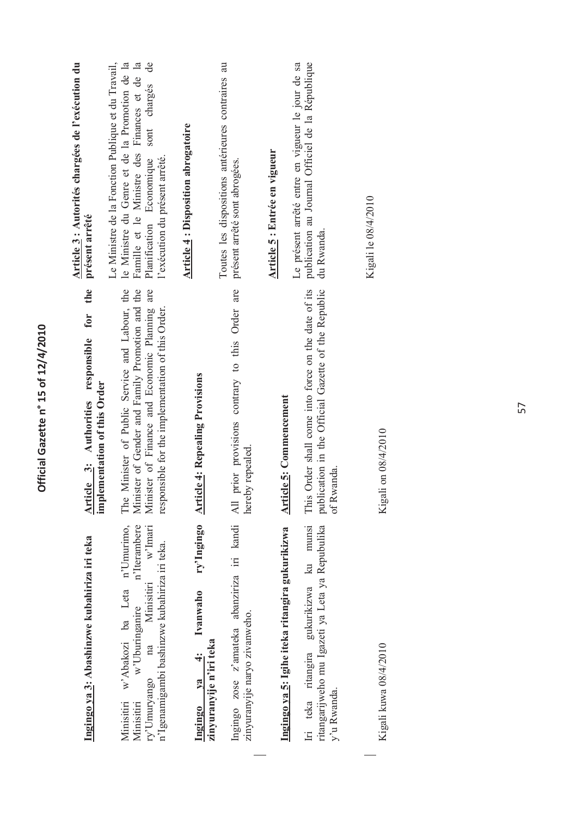| Ingingo ya 3: Abashinzwe kubahiriza iri teka                                                                                                                                            | the<br>Article 3: Authorities responsible for<br>implementation of this Order                                                                                                                              | Article 3 : Autorités chargées de l'exécution du<br>présent arrêté                                                                                                                                                                                        |
|-----------------------------------------------------------------------------------------------------------------------------------------------------------------------------------------|------------------------------------------------------------------------------------------------------------------------------------------------------------------------------------------------------------|-----------------------------------------------------------------------------------------------------------------------------------------------------------------------------------------------------------------------------------------------------------|
| w'Imari<br>w'Abakozi ba Leta n'Umurimo,<br>n'Iterambere<br>n'Igenamigambi bashinzwe kubahiriza iri teka.<br>na Minisitiri<br>w'Uburinganire<br>ry'Umuryango<br>Minisitiri<br>Minisitiri | Minister of Public Service and Labour, the<br>Minister of Gender and Family Promotion and the<br>Minister of Finance and Economic Planning are<br>responsible for the implementation of this Order.<br>The | $\frac{1}{\sqrt{2}}$<br>Le Ministre de la Fonction Publique et du Travail,<br>le Ministre du Genre et de la Promotion de la<br>Famille et le Ministre des Finances et de la<br>sont charges<br>Planification Economique<br>l'exécution du présent arrêté. |
| ry'Ingingo<br>Ivanwaho<br>zinyuranyije n'iri teka<br>$\div$<br>$va$<br>Ingingo                                                                                                          | <b>Article 4: Repealing Provisions</b>                                                                                                                                                                     | <b>Article 4: Disposition abrogatoire</b>                                                                                                                                                                                                                 |
| zinyuranyije naryo zivanweho.                                                                                                                                                           | Ingingo zose z'amateka abanziriza iri kandi All prior provisions contrary to this Order are<br>hereby repealed.                                                                                            | Toutes les dispositions antérieures contraires au<br>présent arrêté sont abrogées.                                                                                                                                                                        |
| Ingingo ya 5: Igihe iteka ritangira gukurikizwa                                                                                                                                         | <b>Article 5: Commencement</b>                                                                                                                                                                             | <b>Article 5: Entrée en vigueur</b>                                                                                                                                                                                                                       |
| Iri teka ritangira gukurikizwa ku munsi<br>ritangarijweho mu Igazeti ya Leta ya Repubulika<br>y'u Rwanda.                                                                               | Order shall come into force on the date of its<br>publication in the Official Gazette of the Republic<br>of Rwanda.<br>This                                                                                | Le présent arrêté entre en vigueur le jour de sa<br>publication au Journal Officiel de la République<br>du Rwanda.                                                                                                                                        |
| Kigali kuwa 08/4/2010                                                                                                                                                                   | Kigali on 08/4/2010                                                                                                                                                                                        | Kigali le 08/4/2010                                                                                                                                                                                                                                       |
|                                                                                                                                                                                         |                                                                                                                                                                                                            |                                                                                                                                                                                                                                                           |

Official Gazette n° 15 of 12/4/2010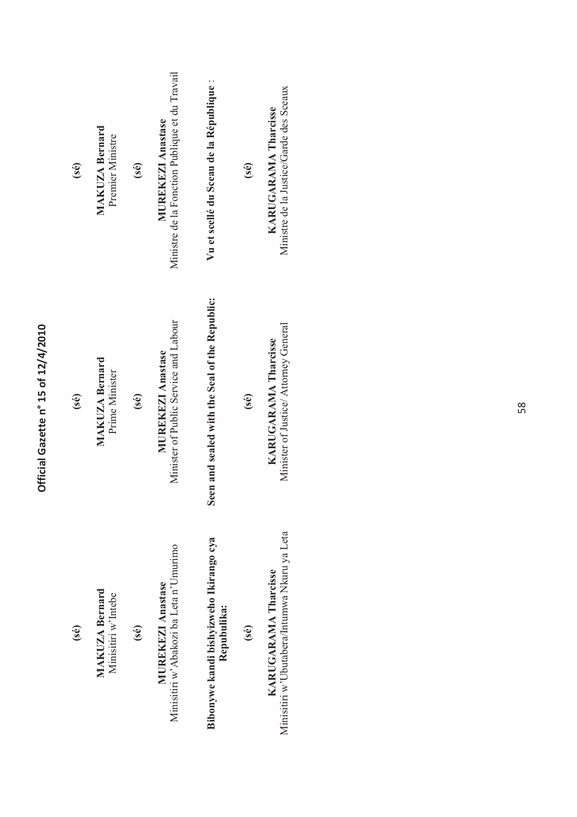| (se)                                 | <b>MAKUZA Bernard</b><br>Premier Ministre    | (se) | Ministre de la Fonction Publique et du Travail<br><b>MUREKEZI Anastase</b> | Vu et scellé du Sceau de la République :               | (se)                 | Ministre de la Justice/Garde des Sceaux<br><b>KARUGARAMA Tharcisse</b> |  |
|--------------------------------------|----------------------------------------------|------|----------------------------------------------------------------------------|--------------------------------------------------------|----------------------|------------------------------------------------------------------------|--|
| (se)                                 | <b>MAKUZA Bernard</b><br>Prime Minister      | (sé) | Minister of Public Service and Labour<br><b>MUREKEZI Anastase</b>          | Seen and sealed with the Seal of the Republic:         | (se)                 | Minister of Justice/ Attorney General<br>KARUGARAMA Tharcisse          |  |
| $(\hat{\mathbf{s}}\hat{\mathbf{e}})$ | <b>MAKUZA Bernard</b><br>Minisitiri w'Intebe | (sé) | Minisitiri w'Abakozi ba Leta n'Umurimo<br><b>MUREKEZI Anastase</b>         | Bibonywe kandi bishyizweho Ikirango cya<br>Repubulika: | $(\hat{\mathbf{s}})$ | Minisitiri w'Ubutabera/Intumwa Nkuru ya Leta<br>KARUGARAMA Tharcisse   |  |

Official Gazette n° 15 of 12/4/2010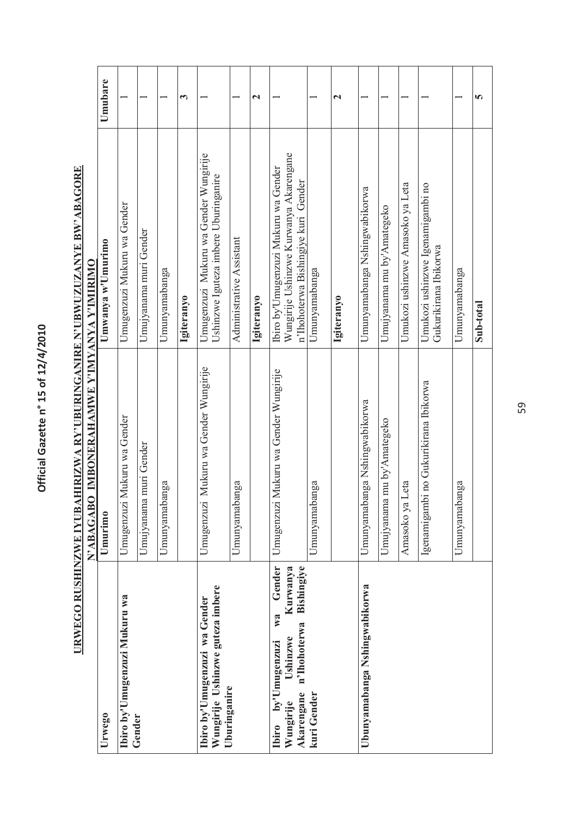|                                                                                                                                            | N'ABAGABO IMBONERAHAMWE Y'IMYANYA Y'IMIRIMO |                                                                                                                       |                       |
|--------------------------------------------------------------------------------------------------------------------------------------------|---------------------------------------------|-----------------------------------------------------------------------------------------------------------------------|-----------------------|
| Urwego                                                                                                                                     | Umurimo                                     | Umwanya w'Umurimo                                                                                                     | Umubare               |
| Ibiro by'Umugenzuzi Mukuru wa                                                                                                              | i Mukuru wa Gender<br>Umugenzuz             | Umugenzuzi Mukuru wa Gender                                                                                           |                       |
| Gender                                                                                                                                     | Umujyanama muri Gender                      | Umujyanama muri Gender                                                                                                |                       |
|                                                                                                                                            | Umunyamabanga                               | Umunyamabanga                                                                                                         |                       |
|                                                                                                                                            |                                             | Igiteranyo                                                                                                            | 3                     |
| Wungirije Ushinzwe guteza imbere<br>Ibiro by'Umugenzuzi wa Gender                                                                          | Mukuru wa Gender Wungirije<br>Umugenzuzi    | Umugenzuzi Mukuru wa Gender Wungirije<br>Ushinzwe Iguteza imbere Uburinganire                                         |                       |
| Uburinganire                                                                                                                               | Umunyamabanga                               | Administrative Assistant                                                                                              |                       |
|                                                                                                                                            |                                             | Igiteranyo                                                                                                            | $\mathbf{z}$          |
| Gender<br><b>Bishingiye</b><br>Kurwanya<br>W2<br>n'Ihohoterwa<br>Ushinzwe<br>by'Umugenzuzi<br>Akarengane<br>Wungirije<br>Ibir <sub>0</sub> | Umugenzuzi Mukuru wa Gender Wungirije       | Wungirije Ushinzwe Kurwanya Akarengane<br>Ibiro by'Umugenzuzi Mukuru wa Gender<br>n'Ihohoterwa Bishingiye kuri Gender |                       |
| kuri Gender                                                                                                                                | Umunyamabanga                               | Umunyamabanga                                                                                                         |                       |
|                                                                                                                                            |                                             | Igiteranyo                                                                                                            | $\mathbf{\mathbf{C}}$ |
| Ubunyamabanga Nshingwabikorwa                                                                                                              | Umunyamabanga Nshingwabikorwa               | Umunyamabanga Nshingwabikorwa                                                                                         |                       |
|                                                                                                                                            | Umujyanama mu by'Amategeko                  | Umujyanama mu by'Amategeko                                                                                            |                       |
|                                                                                                                                            | Amasoko ya Leta                             | Umukozi ushinzwe Amasoko ya Leta                                                                                      |                       |
|                                                                                                                                            | bi no Gukurikirana Ibikorwa<br>Igenamigam   | Umukozi ushinzwe Igenamigambi no<br>Gukurikirana Ibikorwa                                                             |                       |
|                                                                                                                                            | Umunyamabanga                               | Umunyamabanga                                                                                                         |                       |
|                                                                                                                                            |                                             | Sub-total                                                                                                             | m                     |

## URWEGO RUSHINZWE IYUBAHIRIZWA RY'UBURINGANIRE N'UBWUZUZANYE BW'ABAGORE **URWEGO RUSHINZWE IYUBAHIRIZWA RY'UBURINGANIRE N'UBWUZUZANYE BW'ABAGORE**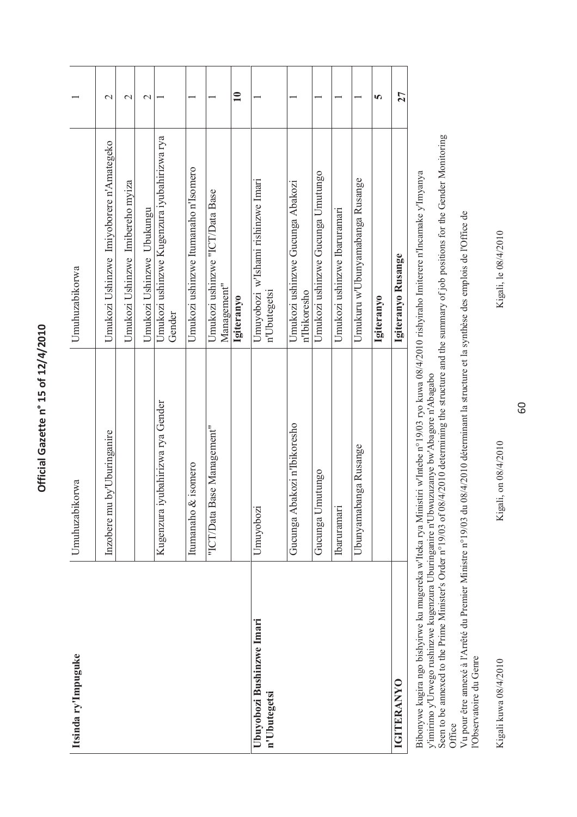| ı      |
|--------|
| ž      |
|        |
|        |
|        |
|        |
|        |
|        |
|        |
| t<br>j |
|        |
| Ľ      |
| ì      |
|        |
| 。<br>2 |
|        |
|        |
| ۱      |
|        |
|        |
|        |
|        |
|        |
|        |
|        |
|        |
|        |
|        |
|        |
|        |
|        |

| Itsinda ry'Impuguke                       | Umuhuzabikorwa                       | Umuhuzabikorwa                                        |                 |
|-------------------------------------------|--------------------------------------|-------------------------------------------------------|-----------------|
|                                           | Inzobere mu by'Uburinganire          | Umukozi Ushinzwe Imiyoborere n'Amategeko              | $\mathbf{\sim}$ |
|                                           |                                      | Umukozi Ushinzwe Imibereho myiza                      | $\mathbf{\sim}$ |
|                                           |                                      | Umukozi Ushinzwe Ubukungu                             | $\mathcal{C}$   |
|                                           | iyubahirizwa rya Gender<br>Kugenzura | Umukozi ushinzwe Kugenzura iyubahirizwa rya<br>Gender |                 |
|                                           | & isomero<br>Itumanaho d             | Umukozi ushinzwe Itumanaho n'Isomero                  |                 |
|                                           | "ICT/Data Base Management"           | Umukozi ushinzwe "ICT/Data Base<br>Management"        |                 |
|                                           |                                      | Igiteranyo                                            | $\mathbf{10}$   |
| Ubuyobozi Bushinzwe Imari<br>n'Ubutegetsi | Umuyobozi                            | Umuyobozi w'Ishami rishinzwe Imari<br>n'Ubutegetsi    |                 |
|                                           | Gucunga Abakozi n'Ibikoresho         | Umukozi ushinzwe Gucunga Abakozi<br>n'Ibikoresho      |                 |
|                                           | Gucunga Umutungo                     | Umukozi ushinzwe Gucunga Umutungo                     |                 |
|                                           | <b>Ibaruramari</b>                   | Umukozi ushinzwe Ibaruramari                          |                 |
|                                           | Ubunyamabanga Rusange                | Umukuru w'Ubunyamabanga Rusange                       |                 |
|                                           |                                      | Igiteranyo                                            | n               |
| <b>IGITERANYO</b>                         |                                      | Igiteranyo Rusange                                    | 27              |
|                                           |                                      |                                                       |                 |

Bibonywe kugira ngo bishyirwe ku mugereka w'Iteka rya Ministiri w'Intebe n°19/03 ryo kuwa 08/4/2010 rishyiraho Imiterere n'Incamake y'Imyanya Bibonywe kugira ngo bishyirwe ku mugereka w'Iteka rya Ministiri w'Intebe n°19/03 ryo kuwa 08/4/2010 rishyiraho Imiterere n'Incamake y'Imyanya

y'imirino y'Urwego rushinzwe kugenzura Uburinganire n'Ubwuzuzanye bw'Abagore n'Abagabo<br>Seen to be annexed to the Prime Minister's Order n°19/03 of 08/4/2010 determining the structure and the summary of job positions for th Seen to be annexed to the Prime Minister's Order n°19/03 of 08/4/2010 determining the structure and the summary of job positions for the Gender Monitoring y'imirimo y'Urwego rushinzwe kugenzura Uburinganire n'Ubwuzuzanye bw'Abagore n'Abagabo

Office<br>Vu pour être annexé à l'Arrêté du Premier Ministre n°19/03 du 08/4/2010 déterminant la structure et la synthèse des emplois de l'Office de<br>l'Observatoire du Genre Vu pour être annexé à l'Arrêté du Premier Ministre n°19/03 du 08/4/2010 déterminant la structure et la synthèse des emplois de l'Office de l'Observatoire du Genre

Kigali kuwa 08/4/2010

Kigali kuwa 08/4/2010 Kigali, on 08/4/2010 Kigali, on 08/4/2010 Kigali, on 08/4/2010 Kigali, le 08/4/2010 Kigali, le 08/4/2010 Kigali, on 08/4/2010

Kigali, le 08/4/2010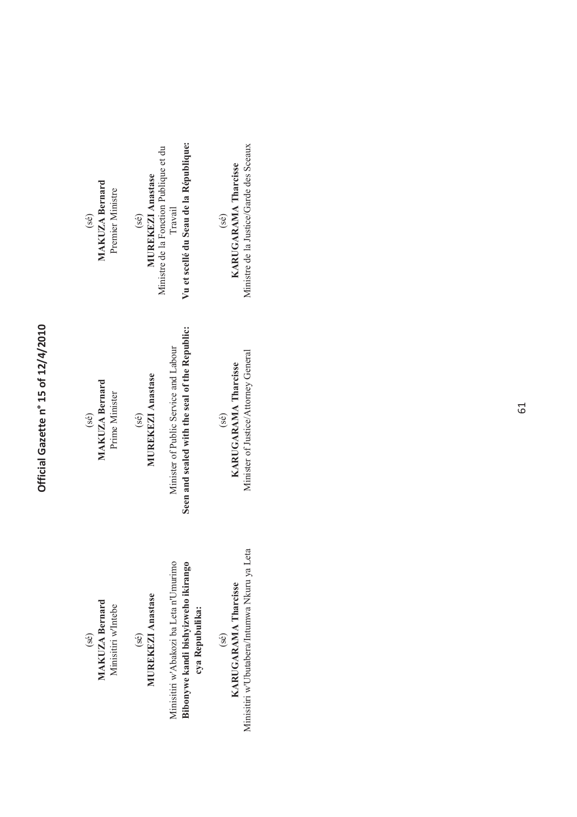| $\overline{\mathbf{e}}$ | ernarc | Ξ |
|-------------------------|--------|---|
|                         |        |   |

**MUREKEZI Anastase**  $(sé)$ 

Minisitiri w'Abakozi ba Leta n'Umurimo Bibonywe kandi bishyizweho ikirango cya Repubulika: **cya Repubulika:** 

Minisitiri w'Ubutabera/Intumwa Nkuru ya Leta Minister of Justice/Attorney General Ministre de la Justice/Garde des Sceaux **KARUGARAMA Tharcisse KARUGARAMA Tharcisse KARUGARAMA Tharcisse**   $(s\hat{e})$  (se) Minisitiri w'Ubutabera/Intumwa Nkuru ya Leta KARUGARAMA Tharcisse  $(sé)$ 

 $(s\hat{e})$  (se) MAKUZA Bernard Prime Minister  $(sé)$ 

(se)  $(s\hat{e})$ **MUREKEZI Anastase**  $(s\acute{e})$ 

**Bibonywe kandi bishyizweho ikirango Seen and sealed with the seal of the Republic: Vu et scellé du Seau de la République:**  Seen and sealed with the seal of the Republic: Minister of Public Service and Labour Minisitiri w'Abakozi ba Leta n'Umurimo Minister of Public Service and Labour

MAKUZA Bernard **MAKUZA Bernard MAKUZA Bernard MAKUZA Bernard**  Premier Ministre Minisitiri w'Intebe Prime Minister Premier Ministre  $(s\acute{e})$ 

Vu et scellé du Seau de la République: Ministre de la Fonction Publique et du Ministre de la Fonction Publique et du MUREKEZI Anastase **MUREKEZI Anastase MUREKEZI Anastase MUREKEZI Anastase**  Travail  $(s6)$ 

Ministre de la Justice/Garde des Sceaux KARUGARAMA Tharcisse  $(s\acute{e})$ 

> Minister of Justice/Attorney General KARUGARAMA Tharcisse

 $(s\acute{e})$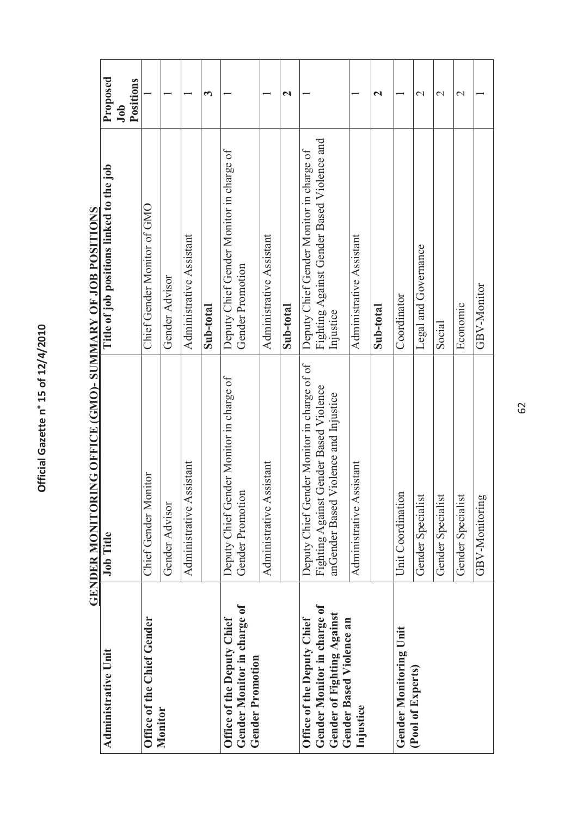|                                                                                         | GENDER MONITOR                                                                                                                    | ING OFFICE (GMO)- SUMMARY OF JOB POSITIONS                                                          |                       |
|-----------------------------------------------------------------------------------------|-----------------------------------------------------------------------------------------------------------------------------------|-----------------------------------------------------------------------------------------------------|-----------------------|
| <b>Administrative Unit</b>                                                              | <b>Job Title</b>                                                                                                                  | Title of job positions linked to the job                                                            | Proposed              |
|                                                                                         |                                                                                                                                   |                                                                                                     | Positions<br>Job      |
| Office of the Chief Gender                                                              | Chief Gender Monitor                                                                                                              | Chief Gender Monitor of GMO                                                                         |                       |
| Monitor                                                                                 | Gender Advisor                                                                                                                    | Gender Advisor                                                                                      |                       |
|                                                                                         | Administrative Assistant                                                                                                          | Administrative Assistant                                                                            |                       |
|                                                                                         |                                                                                                                                   | Sub-total                                                                                           | 3                     |
| Gender Monitor in charge of<br>Office of the Deputy Chief<br><b>Gender Promotion</b>    | Deputy Chief Gender Monitor in charge of<br>Gender Promotion                                                                      | Deputy Chief Gender Monitor in charge of<br>Gender Promotion                                        |                       |
|                                                                                         | Administrative Assistant                                                                                                          | Administrative Assistant                                                                            |                       |
|                                                                                         |                                                                                                                                   | Sub-total                                                                                           | $\mathbf{\mathbf{z}}$ |
| Gender Monitor in charge of<br>Gender of Fighting Against<br>Office of the Deputy Chief | Deputy Chief Gender Monitor in charge of of<br>Fighting Against Gender Based Violence<br>Violence and Injustice<br>anGender Based | Fighting Against Gender Based Violence and<br>Deputy Chief Gender Monitor in charge of<br>Injustice |                       |
| Gender Based Violence an<br>Injustice                                                   | Administrative Assistant                                                                                                          | Administrative Assistant                                                                            |                       |
|                                                                                         |                                                                                                                                   | Sub-total                                                                                           | $\mathbf{\mathbf{z}}$ |
| <b>Gender Monitoring Unit</b>                                                           | Unit Coordination                                                                                                                 | Coordinator                                                                                         |                       |
| (Pool of Experts)                                                                       | Gender Specialist                                                                                                                 | Legal and Governance                                                                                | $\mathcal{L}$         |
|                                                                                         | Gender Specialist                                                                                                                 | Social                                                                                              | $\mathbf 2$           |
|                                                                                         | Gender Specialist                                                                                                                 | Economic                                                                                            | $\mathrel{\sim}$      |
|                                                                                         | GBV-Monitoring                                                                                                                    | GBV-Monitor                                                                                         |                       |

# GENDER MONITORING OFFICE (GMO)- SUMMARY OF JOB POSITIONS

62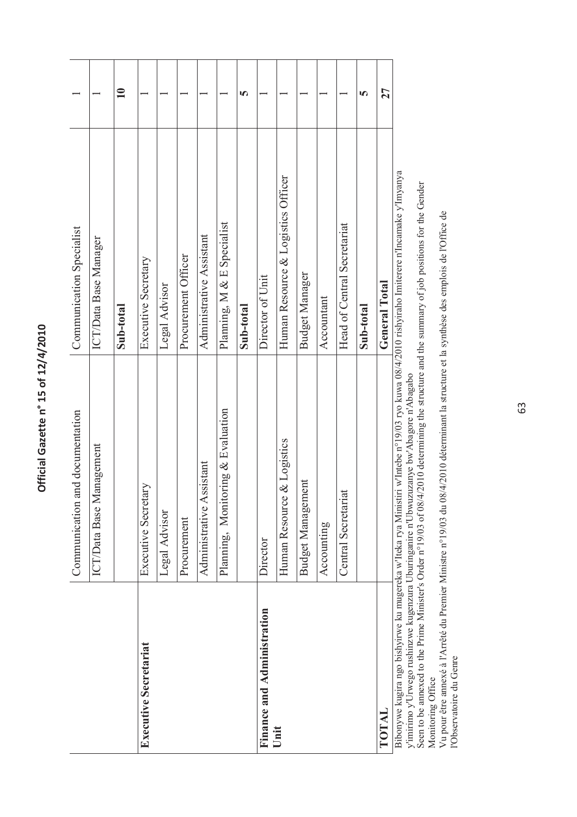|                                                                                                                  | Communication and documentation                                                                                                                                                                                                         | Communication Specialist                                                       |               |
|------------------------------------------------------------------------------------------------------------------|-----------------------------------------------------------------------------------------------------------------------------------------------------------------------------------------------------------------------------------------|--------------------------------------------------------------------------------|---------------|
|                                                                                                                  | anagement<br>ICT/Data Base M                                                                                                                                                                                                            | ICT/Data Base Manager                                                          |               |
|                                                                                                                  |                                                                                                                                                                                                                                         | Sub-total                                                                      | $\mathbf{10}$ |
| <b>Executive Secretariat</b>                                                                                     | Executive Secretary                                                                                                                                                                                                                     | Executive Secretary                                                            |               |
|                                                                                                                  | Legal Advisor                                                                                                                                                                                                                           | Legal Advisor                                                                  |               |
|                                                                                                                  | Procurement                                                                                                                                                                                                                             | Procurement Officer                                                            |               |
|                                                                                                                  | Administrative Assistant                                                                                                                                                                                                                | Administrative Assistant                                                       |               |
|                                                                                                                  | Planning, Monitoring & Evaluation                                                                                                                                                                                                       | Planning, M & E Specialist                                                     |               |
|                                                                                                                  |                                                                                                                                                                                                                                         | Sub-total                                                                      | m             |
| Finance and Administration                                                                                       | Director                                                                                                                                                                                                                                | Director of Unit                                                               |               |
| Unit                                                                                                             | & Logistics<br>Human Resource                                                                                                                                                                                                           | Human Resource & Logistics Officer                                             |               |
|                                                                                                                  | <b>Budget Management</b>                                                                                                                                                                                                                | <b>Budget Manager</b>                                                          |               |
|                                                                                                                  | Accounting                                                                                                                                                                                                                              | Accountant                                                                     |               |
|                                                                                                                  | Central Secretariat                                                                                                                                                                                                                     | Head of Central Secretariat                                                    |               |
|                                                                                                                  |                                                                                                                                                                                                                                         | Sub-total                                                                      | 5             |
| TOTAL                                                                                                            |                                                                                                                                                                                                                                         | <b>General Total</b>                                                           | 27            |
| Seen to be annexed to the Prime Minister's Order n°19/03 of 08/4                                                 | Bibonywe kugira ngo bishyirwe ku mugereka w'Iteka rya Ministiri w'Intebe n°19/03 ryo kuwa 08/4/2010 rishyiraho Imiterere n'Incamake y'Imyanya<br>y'imirimo y'Urwego rushinzwe kugenzura Uburinganire n'Ubwuzuzanye bw'Abagore n'Abagabo | 2010 determining the structure and the summary of job positions for the Gender |               |
| Vu pour être annexé à l'Arrêté du Premier Ministre n°19/03 du 08<br>l'Observatoire du Genre<br>Monitoring Office |                                                                                                                                                                                                                                         | /4/2010 déterminant la structure et la synthèse des emplois de l'Office de     |               |

63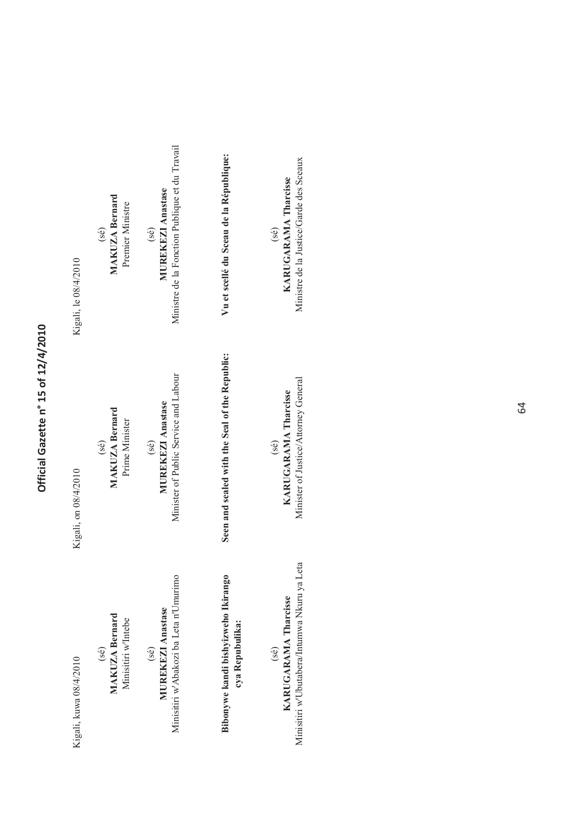| Kigali, kuwa 08/4/2010                                                                  | Kigali, on 08/4/2010                                                                         | Kigali, le 08/4/2010                                                           |
|-----------------------------------------------------------------------------------------|----------------------------------------------------------------------------------------------|--------------------------------------------------------------------------------|
| <b>MAKUZA Bernard</b><br>Minisitiri w'Intebe<br>$(\hat{\mathsf{se}})$                   | <b>MAKUZA Bernard</b><br>Prime Minister<br>$(\overline{\mathsf{se}})$                        | <b>MAKUZA Bernard</b><br>Premier Ministre<br>$(\hat{\mathsf{se}})$             |
| Minisitiri w'Abakozi ba Leta n'Umurimo<br><b>MUREKEZI Anastase</b><br>(sé)              | Minister of Public Service and Labour<br><b>MUREKEZI Anastase</b><br>$($ sé $)$              | Ministre de la Fonction Publique et du Travail<br>MUREKEZI Anastase<br>(sé)    |
| Bibonywe kandi bishyizweho Ikirango<br>cya Repubulika:                                  | Seen and sealed with the Seal of the Republic:                                               | Vu et scellé du Sceau de la République:                                        |
| eta<br>Minisitiri w'Ubutabera/Intumwa Nkuru ya L<br><b>KARUGARAMA Tharcisse</b><br>(sé) | Minister of Justice/Attorney General<br><b>KARUGARAMA Tharcisse</b><br>$(\dot{\mathsf{se}})$ | Ministre de la Justice/Garde des Sceaux<br><b>KARUGARAMA Tharcisse</b><br>(sé) |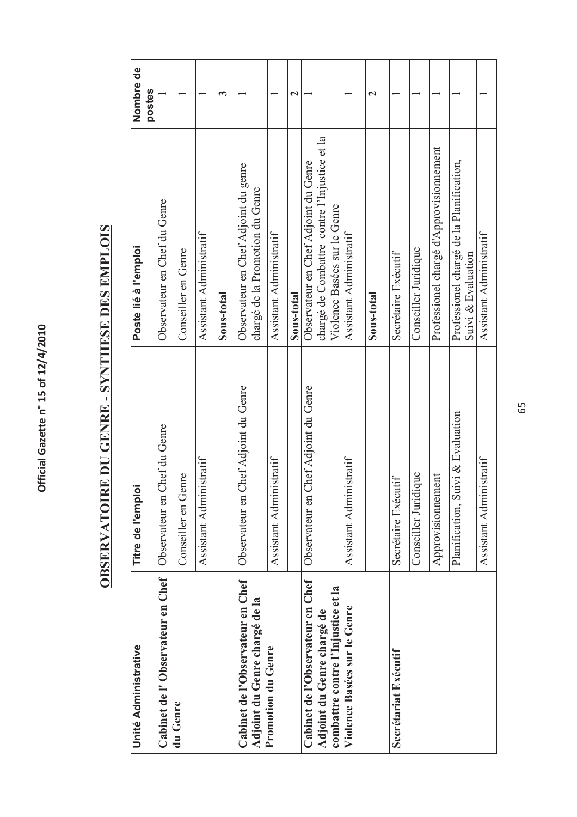## OBSERVATOIRE DU GENRE - SYNTHESE DES EMPLOIS **OBSERVATOIRE DU GENRE - SYNTHESE DES EMPLOIS**

| Unité Administrative                                                                                 | $\overline{2}$<br>Titre de l'empl       | Poste lié à l'emploi                                                                                                 | Nombre de             |
|------------------------------------------------------------------------------------------------------|-----------------------------------------|----------------------------------------------------------------------------------------------------------------------|-----------------------|
| Cabinet de l'Observateur en Chef                                                                     | Chef du Genre<br>Observateur en         | Observateur en Chef du Genre                                                                                         | postes                |
| du Genre                                                                                             | Conseiller en Genre                     | Conseiller en Genre                                                                                                  |                       |
|                                                                                                      | Assistant Administratif                 | Assistant Administratif                                                                                              |                       |
|                                                                                                      |                                         | Sous-total                                                                                                           | ొ                     |
| Cabinet de l'Observateur en Chef<br>Adjoint du Genre chargé de la                                    | Chef Adjoint du Genre<br>Observateur en | Observateur en Chef Adjoint du genre<br>chargé de la Promotion du Genre                                              |                       |
| <b>Promotion du Genre</b>                                                                            | Assistant Administratif                 | Assistant Administratif                                                                                              |                       |
|                                                                                                      |                                         | Sous-total                                                                                                           | $\mathbf{\mathbf{z}}$ |
| Cabinet de l'Observateur en Chef<br>combattre contre l'Injustice et la<br>Adjoint du Genre chargé de | Chef Adjoint du Genre<br>Observateur en | chargé de Combattre contre l'Injustice et la<br>Observateur en Chef Adjoint du Genre<br>Violence Basées sur le Genre |                       |
| Violence Basées sur le Genre                                                                         | Assistant Administratif                 | Assistant Administratif                                                                                              |                       |
|                                                                                                      |                                         | Sous-total                                                                                                           | $\mathbf{\mathbf{C}}$ |
| Secrétariat Exécutif                                                                                 | Secrétaire Exécutif                     | Secrétaire Exécutif                                                                                                  |                       |
|                                                                                                      | Conseiller Juridique                    | Conseiller Juridique                                                                                                 |                       |
|                                                                                                      | Approvisionnement                       | Professionel chargé d'Approvisionnement                                                                              |                       |
|                                                                                                      | Planification, Suivi & Evaluation       | Professionel chargé de la Planification,<br>Suivi & Evaluation                                                       |                       |
|                                                                                                      | Assistant Administratif                 | Assistant Administratif                                                                                              |                       |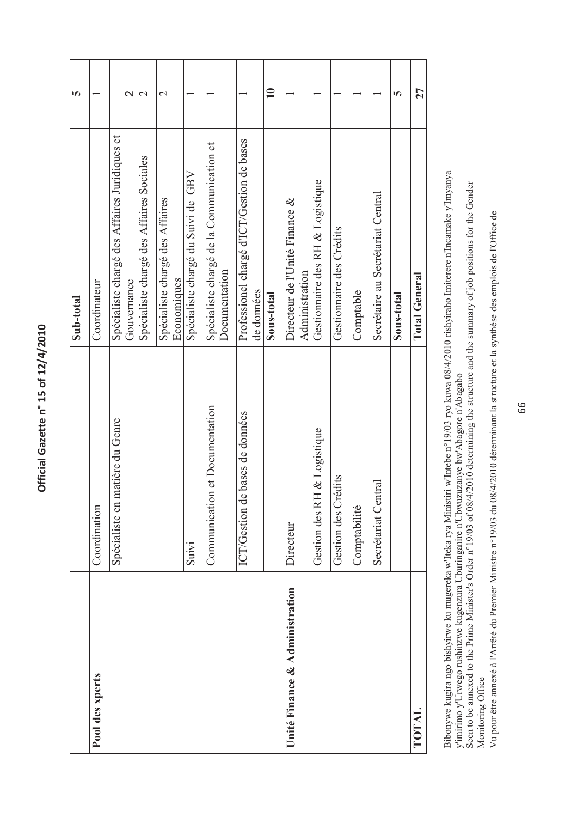| ľ      |
|--------|
|        |
|        |
|        |
|        |
|        |
|        |
|        |
|        |
|        |
|        |
| t<br>J |
|        |
| í<br>ì |
|        |
|        |
| 。<br>2 |
|        |
|        |
|        |
| į      |
|        |
|        |
|        |
|        |
|        |
|        |
|        |
|        |
|        |
|        |
|        |
|        |
|        |

|                                |                                    | Sub-total                                                    | m                       |
|--------------------------------|------------------------------------|--------------------------------------------------------------|-------------------------|
| Pool des xperts                | Coordination                       | Coordinateur                                                 |                         |
|                                | Spécialiste en matière du Genre    | Spécialiste chargé des Affaires Juridiques et<br>Gouvernance | $\overline{\mathsf{N}}$ |
|                                |                                    | Spécialiste chargé des Affaires Sociales                     | $\mathrel{\sim}$        |
|                                |                                    | Spécialiste chargé des Affaires<br>Economiques               | $\mathcal{L}$           |
|                                | Suivi                              | Spécialiste chargé du Suivi de GBV                           |                         |
|                                | Communication et Documentation     | Spécialiste chargé de la Communication et<br>Documentation   |                         |
|                                | bases de données<br>ICT/Gestion de | Professionel chargé d'ICT/Gestion de bases<br>de données     |                         |
|                                |                                    | Sous-total                                                   | $\blacksquare$          |
| Unité Finance & Administration | Directeur                          | Directeur de l'Unité Finance &<br>Administration             |                         |
|                                | & Logistique<br>Gestion des RH     | Gestionnaire des RH & Logistique                             |                         |
|                                | Gestion des Crédits                | Gestionnaire des Crédits                                     |                         |
|                                | Comptabilité                       | Comptable                                                    |                         |
|                                | Secrétariat Central                | Secrétaire au Secrétariat Central                            |                         |
|                                |                                    | Sous-total                                                   | 5                       |
| TOTAL                          |                                    | <b>Total General</b>                                         | 27                      |

Bibonywe kugira ngo bishyirwe ku mugereka w'Iteka rya Ministiri w'Intebe n°19/03 ryo kuwa 08/4/2010 rishyiraho Imiterere n'Incamake y'Imyanya<br>y'imirimo y'Urwego rushinzwe kugenzura Uburinganire n'Ubwuzuzanye bw'Abagore n'A Bibonywe kugira ngo bishyirwe ku mugereka w'Iteka rya Ministiri w'Intebe n°19/03 ryo kuwa 08/4/2010 rishyiraho Imiterere n'Incamake y'Imyanya y'imirimo y'Urwego rushinzwe kugenzura Uburinganire n'Ubwuzuzanye bw'Abagore n'Abagabo

Seen to be annexed to the Prime Minister's Order n°19/03 of 08/4/2010 determining the structure and the summary of job positions for the Gender Monitoring Office

Vu pour être annexé à l'Arrêté du Premier Ministre n°19/03 du 08/4/2010 déterminant la structure et la synthèse des emplois de l'Office de Vu pour être annexé à l'Arrêté du Premier Ministre n°19/03 du 08/4/2010 déterminant la structure et la synthèse des emplois de l'Office de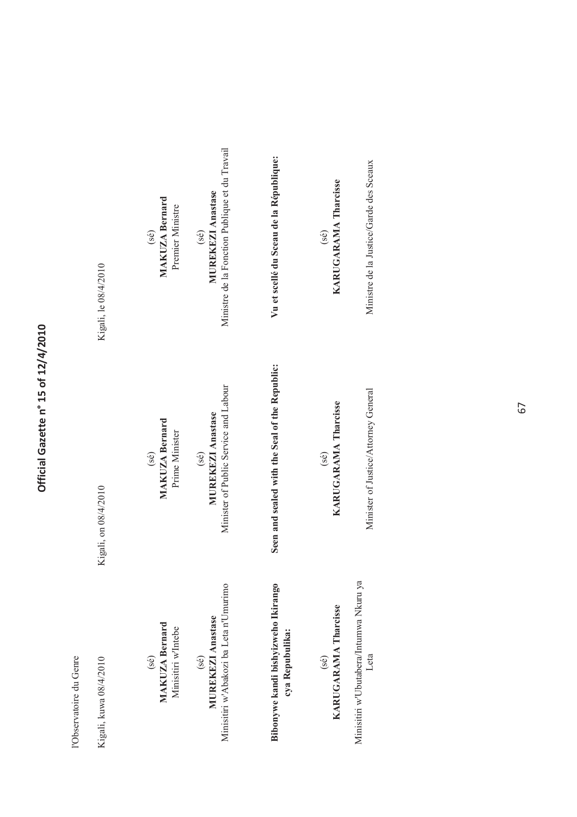| Observatoire du Genre | Cigali, kuwa 08/4/2010 |
|-----------------------|------------------------|

Kigali, on 08/4/2010

Kigali, le 08/4/2010 Kigali, kuwa 08/4/2010 Kigali, on 08/4/2010 Kigali, on 08/4/2010 Kigali, on 08/4/2010 Kigali, le 08/4/2010 Kigali, le 08/4/2010

**MAKUZA Bernard MAKUZA Bernard MAKUZA Bernard**  Minisitiri w'Intebe Prime Minister Premier Ministre (sé)  $(s\hat{e})$ **MAKUZA Bernard** Minisitiri w'Intebe  $(s\acute{e})$ 

 $(s\acute{e})$ 

**MUREKEZI Anastase MUREKEZI Anastase MUREKEZI Anastase**  Minisitiri w'Abakozi ba Leta n'Umurimo MUREKEZI Anastase

**cya Repubulika:** 

cya Repubulika:

Bibonywe kandi bishyizweho Ikirango

(sé)  $(s\hat{e})$ MUREKEZI Anastase  $(sé)$ 

**MAKUZA Bernard** Prime Minister

 $(s\acute{e})$ 

Minisitiri w'Abakozi ba Leta n'Umurimo Minister of Public Service and Labour Ministre de la Fonction Publique et du Travail Minister of Public Service and Labour

Ministre de la Fonction Publique et du Travail

MUREKEZI Anastase

 $(s6)$ 

**MAKUZA Bernard** Premier Ministre

 $(sé)$ 

Vu et scellé du Sceau de la République: **Bibonywe kandi bishyizweho Ikirango Seen and sealed with the Seal of the Republic: Vu et scellé du Sceau de la République:** 

Seen and sealed with the Seal of the Republic:

**KARUGARAMA Tharcisse KARUGARAMA Tharcisse KARUGARAMA Tharcisse**  (sé)  $(s\hat{e})$ KARUGARAMA Tharcisse  $(s\acute{e})$ 

Minister of Justice/Attorney General

Minisitiri w'Ubutabera/Intumwa Nkuru ya

Leta

Minisitiri w'Ubutabera/Intumwa Nkuru ya

KARUGARAMA Tharcisse

 $(sé)$ 

 $(sé)$ 

KARUGARAMA Tharcisse

Leta Minister of Justice/Attorney General Ministre de la Justice/Garde des Sceaux Ministre de la Justice/Garde des Sceaux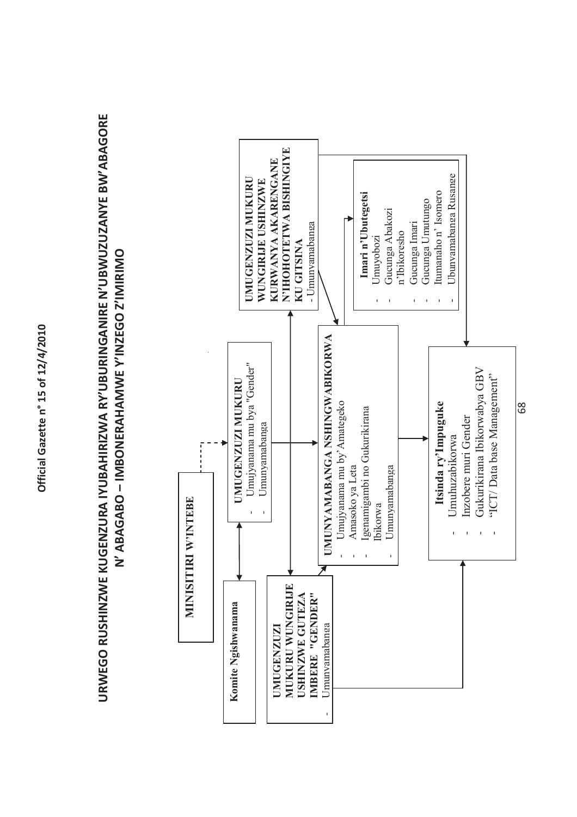### **URWEGO RUSHINZWE KUGENZURA IYUBAHIRIZWA RY'UBURINGANIRE N'UBWUZUZANYE BW'ABAGORE**  URWEGO RUSHINZWE KUGENZURA IYUBAHIRIZWA RY'UBURINGANIRE N'UBWUZUZANYE BW'ABAGORE N' ABAGABO - IMBONERAHAMWE Y'INZEGO Z'IMIRIMO **N' ABAGABO – IMBONERAHAMWE Y'INZEGO Z'IMIRIMO**

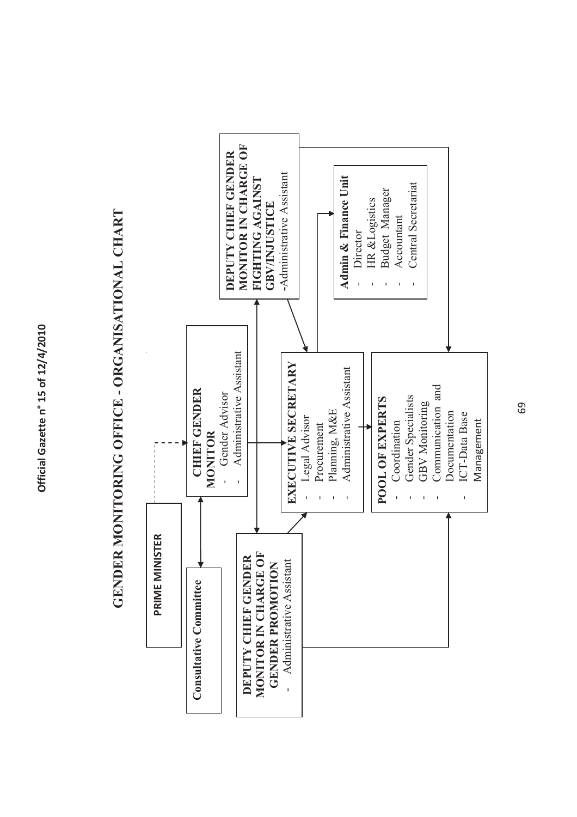## **GENDER MONITORING OFFICE - ORGANISATIONAL CHART**  GENDER MONITORING OFFICE - ORGANISATIONAL CHART